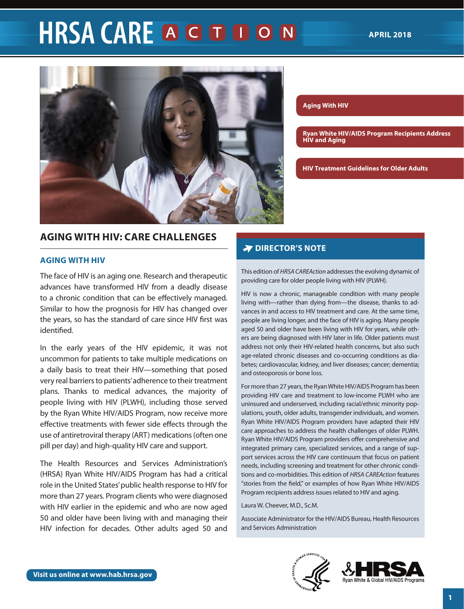# **HRSA CARE A G D D O N**



# **AGING WITH HIV: CARE CHALLENGES**

#### **AGING WITH HIV**

The face of HIV is an aging one. Research and therapeutic advances have transformed HIV from a deadly disease to a chronic condition that can be effectively managed. Similar to how the prognosis for HIV has changed over the years, so has the standard of care since HIV first was identified.

In the early years of the HIV epidemic, it was not uncommon for patients to take multiple medications on a daily basis to treat their HIV—something that posed very real barriers to patients' adherence to their treatment plans. Thanks to medical advances, the majority of people living with HIV (PLWH), including those served by the Ryan White HIV/AIDS Program, now receive more effective treatments with fewer side effects through the use of antiretroviral therapy (ART) medications (often one pill per day) and high-quality HIV care and support.

The Health Resources and Services Administration's (HRSA) Ryan White HIV/AIDS Program has had a critical role in the United States' public health response to HIV for more than 27 years. Program clients who were diagnosed with HIV earlier in the epidemic and who are now aged 50 and older have been living with and managing their HIV infection for decades. Other adults aged 50 and

#### **Aging With HIV**

**[Ryan White HIV/AIDS Program Recipients Address](#page-3-0)  [HIV and Aging](#page-3-0)**

**[HIV Treatment Guidelines for Older Adults](#page-6-0)**

#### **THE ROLE OF BEHAVIOL DIRECTOR'S NOTE**

This edition of *HRSA CAREAction* addresses the evolving dynamic of providing care for older people living with HIV (PLWH).

HIV is now a chronic, manageable condition with many people living with—rather than dying from—the disease, thanks to advances in and access to HIV treatment and care. At the same time, people are living longer, and the face of HIV is aging. Many people aged 50 and older have been living with HIV for years, while others are being diagnosed with HIV later in life. Older patients must address not only their HIV-related health concerns, but also such age-related chronic diseases and co-occurring conditions as diabetes; cardiovascular, kidney, and liver diseases; cancer; dementia; and osteoporosis or bone loss.

For more than 27 years, the Ryan White HIV/AIDS Program has been providing HIV care and treatment to low-income PLWH who are uninsured and underserved, including racial/ethnic minority populations, youth, older adults, transgender individuals, and women. Ryan White HIV/AIDS Program providers have adapted their HIV care approaches to address the health challenges of older PLWH. Ryan White HIV/AIDS Program providers offer comprehensive and integrated primary care, specialized services, and a range of support services across the HIV care continuum that focus on patient needs, including screening and treatment for other chronic conditions and co-morbidities. This edition of *HRSA CAREAction* features "stories from the field," or examples of how Ryan White HIV/AIDS Program recipients address issues related to HIV and aging.

Laura W. Cheever, M.D., Sc.M.

Associate Administrator for the HIV/AIDS Bureau, Health Resources and Services Administration

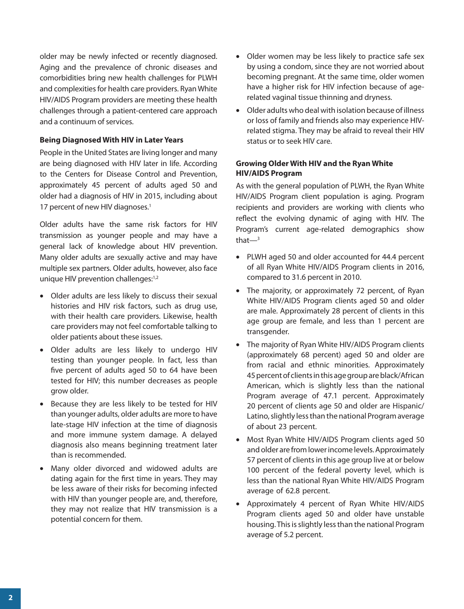older may be newly infected or recently diagnosed. Aging and the prevalence of chronic diseases and comorbidities bring new health challenges for PLWH and complexities for health care providers. Ryan White HIV/AIDS Program providers are meeting these health challenges through a patient-centered care approach and a continuum of services.

## **Being Diagnosed With HIV in Later Years**

People in the United States are living longer and many are being diagnosed with HIV later in life. According to the Centers for Disease Control and Prevention, approximately 45 percent of adults aged 50 and older had a diagnosis of HIV in 2015, including about 17 percent of new HIV diagnoses.<sup>1</sup>

Older adults have the same risk factors for HIV transmission as younger people and may have a general lack of knowledge about HIV prevention. Many older adults are sexually active and may have multiple sex partners. Older adults, however, also face unique HIV prevention challenges:<sup>1,2</sup>

- Older adults are less likely to discuss their sexual histories and HIV risk factors, such as drug use, with their health care providers. Likewise, health care providers may not feel comfortable talking to older patients about these issues.
- Older adults are less likely to undergo HIV testing than younger people. In fact, less than five percent of adults aged 50 to 64 have been tested for HIV; this number decreases as people grow older.
- Because they are less likely to be tested for HIV than younger adults, older adults are more to have late-stage HIV infection at the time of diagnosis and more immune system damage. A delayed diagnosis also means beginning treatment later than is recommended.
- Many older divorced and widowed adults are dating again for the first time in years. They may be less aware of their risks for becoming infected with HIV than younger people are, and, therefore, they may not realize that HIV transmission is a potential concern for them.
- Older women may be less likely to practice safe sex by using a condom, since they are not worried about becoming pregnant. At the same time, older women have a higher risk for HIV infection because of agerelated vaginal tissue thinning and dryness.
- Older adults who deal with isolation because of illness or loss of family and friends also may experience HIVrelated stigma. They may be afraid to reveal their HIV status or to seek HIV care.

## **Growing Older With HIV and the Ryan White HIV/AIDS Program**

As with the general population of PLWH, the Ryan White HIV/AIDS Program client population is aging. Program recipients and providers are working with clients who reflect the evolving dynamic of aging with HIV. The Program's current age-related demographics show that $-3$ 

- PLWH aged 50 and older accounted for 44.4 percent of all Ryan White HIV/AIDS Program clients in 2016, compared to 31.6 percent in 2010.
- The majority, or approximately 72 percent, of Ryan White HIV/AIDS Program clients aged 50 and older are male. Approximately 28 percent of clients in this age group are female, and less than 1 percent are transgender.
- The majority of Ryan White HIV/AIDS Program clients (approximately 68 percent) aged 50 and older are from racial and ethnic minorities. Approximately 45 percent of clients in this age group are black/African American, which is slightly less than the national Program average of 47.1 percent. Approximately 20 percent of clients age 50 and older are Hispanic/ Latino, slightly less than the national Program average of about 23 percent.
- Most Ryan White HIV/AIDS Program clients aged 50 and older are from lower income levels. Approximately 57 percent of clients in this age group live at or below 100 percent of the federal poverty level, which is less than the national Ryan White HIV/AIDS Program average of 62.8 percent.
- Approximately 4 percent of Ryan White HIV/AIDS Program clients aged 50 and older have unstable housing. This is slightly less than the national Program average of 5.2 percent.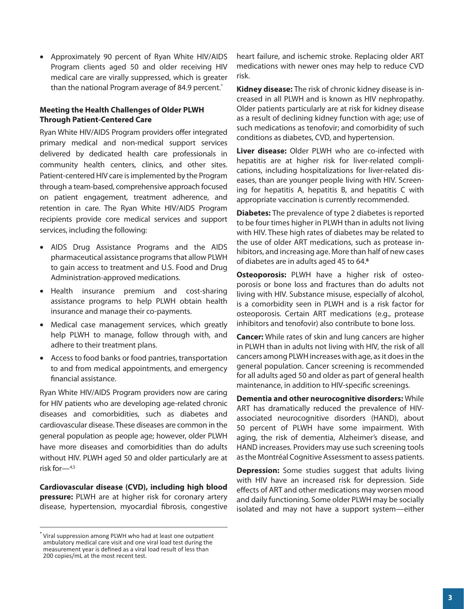• Approximately 90 percent of Ryan White HIV/AIDS Program clients aged 50 and older receiving HIV medical care are virally suppressed, which is greater than the national Program average of 84.9 percent.<sup>\*</sup>

## **Meeting the Health Challenges of Older PLWH Through Patient-Centered Care**

Ryan White HIV/AIDS Program providers offer integrated primary medical and non-medical support services delivered by dedicated health care professionals in community health centers, clinics, and other sites. Patient-centered HIV care is implemented by the Program through a team-based, comprehensive approach focused on patient engagement, treatment adherence, and retention in care. The Ryan White HIV/AIDS Program recipients provide core medical services and support services, including the following:

- AIDS Drug Assistance Programs and the AIDS pharmaceutical assistance programs that allow PLWH to gain access to treatment and U.S. Food and Drug Administration-approved medications.
- Health insurance premium and cost-sharing assistance programs to help PLWH obtain health insurance and manage their co-payments.
- Medical case management services, which greatly help PLWH to manage, follow through with, and adhere to their treatment plans.
- Access to food banks or food pantries, transportation to and from medical appointments, and emergency financial assistance.

Ryan White HIV/AIDS Program providers now are caring for HIV patients who are developing age-related chronic diseases and comorbidities, such as diabetes and cardiovascular disease. These diseases are common in the general population as people age; however, older PLWH have more diseases and comorbidities than do adults without HIV. PLWH aged 50 and older particularly are at risk for—4,5

**Cardiovascular disease (CVD), including high blood pressure:** PLWH are at higher risk for coronary artery disease, hypertension, myocardial fibrosis, congestive heart failure, and ischemic stroke. Replacing older ART medications with newer ones may help to reduce CVD risk.

**Kidney disease:** The risk of chronic kidney disease is increased in all PLWH and is known as HIV nephropathy. Older patients particularly are at risk for kidney disease as a result of declining kidney function with age; use of such medications as tenofovir; and comorbidity of such conditions as diabetes, CVD, and hypertension.

**Liver disease:** Older PLWH who are co-infected with hepatitis are at higher risk for liver-related complications, including hospitalizations for liver-related diseases, than are younger people living with HIV. Screening for hepatitis A, hepatitis B, and hepatitis C with appropriate vaccination is currently recommended.

**Diabetes:** The prevalence of type 2 diabetes is reported to be four times higher in PLWH than in adults not living with HIV. These high rates of diabetes may be related to the use of older ART medications, such as protease inhibitors, and increasing age. More than half of new cases of diabetes are in adults aged 45 to 64.**<sup>6</sup>**

**Osteoporosis:** PLWH have a higher risk of osteoporosis or bone loss and fractures than do adults not living with HIV. Substance misuse, especially of alcohol, is a comorbidity seen in PLWH and is a risk factor for osteoporosis. Certain ART medications (e.g., protease inhibitors and tenofovir) also contribute to bone loss.

**Cancer:** While rates of skin and lung cancers are higher in PLWH than in adults not living with HIV, the risk of all cancers among PLWH increases with age, as it does in the general population. Cancer screening is recommended for all adults aged 50 and older as part of general health maintenance, in addition to HIV-specific screenings.

**Dementia and other neurocognitive disorders:** While ART has dramatically reduced the prevalence of HIVassociated neurocognitive disorders (HAND), about 50 percent of PLWH have some impairment. With aging, the risk of dementia, Alzheimer's disease, and HAND increases. Providers may use such screening tools as the Montréal Cognitive Assessment to assess patients.

**Depression:** Some studies suggest that adults living with HIV have an increased risk for depression. Side effects of ART and other medications may worsen mood and daily functioning. Some older PLWH may be socially isolated and may not have a support system—either

Viral suppression among PLWH who had at least one outpatient ambulatory medical care visit and one viral load test during the measurement year is defined as a viral load result of less than 200 copies/mL at the most recent test.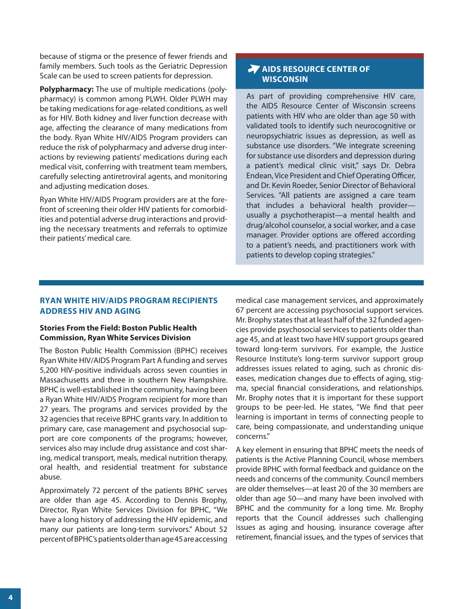<span id="page-3-0"></span>because of stigma or the presence of fewer friends and family members. Such tools as the Geriatric Depression Scale can be used to screen patients for depression.

**Polypharmacy:** The use of multiple medications (polypharmacy) is common among PLWH. Older PLWH may be taking medications for age-related conditions, as well as for HIV. Both kidney and liver function decrease with age, affecting the clearance of many medications from the body. Ryan White HIV/AIDS Program providers can reduce the risk of polypharmacy and adverse drug interactions by reviewing patients' medications during each medical visit, conferring with treatment team members, carefully selecting antiretroviral agents, and monitoring and adjusting medication doses.

Ryan White HIV/AIDS Program providers are at the forefront of screening their older HIV patients for comorbidities and potential adverse drug interactions and providing the necessary treatments and referrals to optimize their patients' medical care.

# **AIDS RESOURCE CENTER OF WISCONSIN**

As part of providing comprehensive HIV care, the AIDS Resource Center of Wisconsin screens patients with HIV who are older than age 50 with validated tools to identify such neurocognitive or neuropsychiatric issues as depression, as well as substance use disorders. "We integrate screening for substance use disorders and depression during a patient's medical clinic visit," says Dr. Debra Endean, Vice President and Chief Operating Officer, and Dr. Kevin Roeder, Senior Director of Behavioral Services. "All patients are assigned a care team that includes a behavioral health provider usually a psychotherapist—a mental health and drug/alcohol counselor, a social worker, and a case manager. Provider options are offered according to a patient's needs, and practitioners work with patients to develop coping strategies."

# **RYAN WHITE HIV/AIDS PROGRAM RECIPIENTS ADDRESS HIV AND AGING**

## **Stories From the Field: Boston Public Health Commission, Ryan White Services Division**

The Boston Public Health Commission (BPHC) receives Ryan White HIV/AIDS Program Part A funding and serves 5,200 HIV-positive individuals across seven counties in Massachusetts and three in southern New Hampshire. BPHC is well-established in the community, having been a Ryan White HIV/AIDS Program recipient for more than 27 years. The programs and services provided by the 32 agencies that receive BPHC grants vary. In addition to primary care, case management and psychosocial support are core components of the programs; however, services also may include drug assistance and cost sharing, medical transport, meals, medical nutrition therapy, oral health, and residential treatment for substance abuse.

Approximately 72 percent of the patients BPHC serves are older than age 45. According to Dennis Brophy, Director, Ryan White Services Division for BPHC, "We have a long history of addressing the HIV epidemic, and many our patients are long-term survivors." About 52 percent of BPHC's patients older than age 45 are accessing medical case management services, and approximately 67 percent are accessing psychosocial support services. Mr. Brophy states that at least half of the 32 funded agencies provide psychosocial services to patients older than age 45, and at least two have HIV support groups geared toward long-term survivors. For example, the Justice Resource Institute's long-term survivor support group addresses issues related to aging, such as chronic diseases, medication changes due to effects of aging, stigma, special financial considerations, and relationships. Mr. Brophy notes that it is important for these support groups to be peer-led. He states, "We find that peer learning is important in terms of connecting people to care, being compassionate, and understanding unique concerns."

A key element in ensuring that BPHC meets the needs of patients is the Active Planning Council, whose members provide BPHC with formal feedback and guidance on the needs and concerns of the community. Council members are older themselves—at least 20 of the 30 members are older than age 50—and many have been involved with BPHC and the community for a long time. Mr. Brophy reports that the Council addresses such challenging issues as aging and housing, insurance coverage after retirement, financial issues, and the types of services that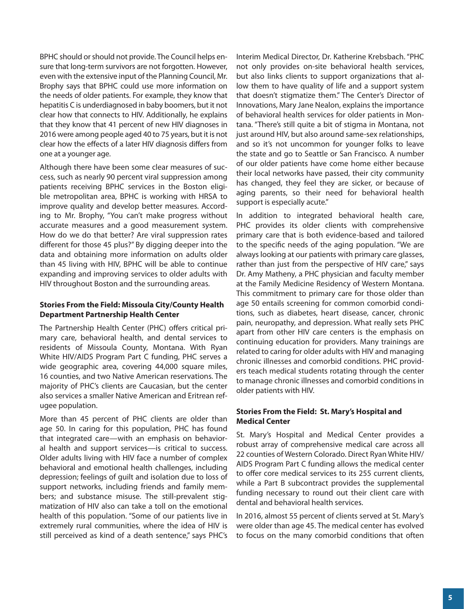BPHC should or should not provide. The Council helps ensure that long-term survivors are not forgotten. However, even with the extensive input of the Planning Council, Mr. Brophy says that BPHC could use more information on the needs of older patients. For example, they know that hepatitis C is underdiagnosed in baby boomers, but it not clear how that connects to HIV. Additionally, he explains that they know that 41 percent of new HIV diagnoses in 2016 were among people aged 40 to 75 years, but it is not clear how the effects of a later HIV diagnosis differs from one at a younger age.

Although there have been some clear measures of success, such as nearly 90 percent viral suppression among patients receiving BPHC services in the Boston eligible metropolitan area, BPHC is working with HRSA to improve quality and develop better measures. According to Mr. Brophy, "You can't make progress without accurate measures and a good measurement system. How do we do that better? Are viral suppression rates different for those 45 plus?" By digging deeper into the data and obtaining more information on adults older than 45 living with HIV, BPHC will be able to continue expanding and improving services to older adults with HIV throughout Boston and the surrounding areas.

#### **Stories From the Field: Missoula City/County Health Department Partnership Health Center**

The Partnership Health Center (PHC) offers critical primary care, behavioral health, and dental services to residents of Missoula County, Montana. With Ryan White HIV/AIDS Program Part C funding, PHC serves a wide geographic area, covering 44,000 square miles, 16 counties, and two Native American reservations. The majority of PHC's clients are Caucasian, but the center also services a smaller Native American and Eritrean refugee population.

More than 45 percent of PHC clients are older than age 50. In caring for this population, PHC has found that integrated care—with an emphasis on behavioral health and support services—is critical to success. Older adults living with HIV face a number of complex behavioral and emotional health challenges, including depression; feelings of guilt and isolation due to loss of support networks, including friends and family members; and substance misuse. The still-prevalent stigmatization of HIV also can take a toll on the emotional health of this population. "Some of our patients live in extremely rural communities, where the idea of HIV is still perceived as kind of a death sentence," says PHC's

Interim Medical Director, Dr. Katherine Krebsbach. "PHC not only provides on-site behavioral health services, but also links clients to support organizations that allow them to have quality of life and a support system that doesn't stigmatize them." The Center's Director of Innovations, Mary Jane Nealon, explains the importance of behavioral health services for older patients in Montana. "There's still quite a bit of stigma in Montana, not just around HIV, but also around same-sex relationships, and so it's not uncommon for younger folks to leave the state and go to Seattle or San Francisco. A number of our older patients have come home either because their local networks have passed, their city community has changed, they feel they are sicker, or because of aging parents, so their need for behavioral health support is especially acute."

In addition to integrated behavioral health care, PHC provides its older clients with comprehensive primary care that is both evidence-based and tailored to the specific needs of the aging population. "We are always looking at our patients with primary care glasses, rather than just from the perspective of HIV care," says Dr. Amy Matheny, a PHC physician and faculty member at the Family Medicine Residency of Western Montana. This commitment to primary care for those older than age 50 entails screening for common comorbid conditions, such as diabetes, heart disease, cancer, chronic pain, neuropathy, and depression. What really sets PHC apart from other HIV care centers is the emphasis on continuing education for providers. Many trainings are related to caring for older adults with HIV and managing chronic illnesses and comorbid conditions. PHC providers teach medical students rotating through the center to manage chronic illnesses and comorbid conditions in older patients with HIV.

## **Stories From the Field: St. Mary's Hospital and Medical Center**

St. Mary's Hospital and Medical Center provides a robust array of comprehensive medical care across all 22 counties of Western Colorado. Direct Ryan White HIV/ AIDS Program Part C funding allows the medical center to offer core medical services to its 255 current clients, while a Part B subcontract provides the supplemental funding necessary to round out their client care with dental and behavioral health services.

In 2016, almost 55 percent of clients served at St. Mary's were older than age 45. The medical center has evolved to focus on the many comorbid conditions that often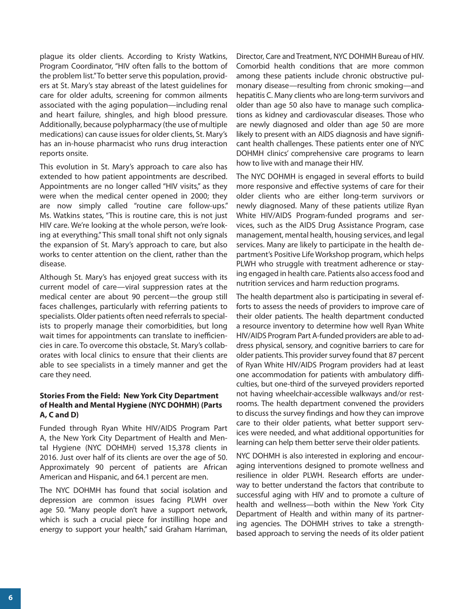plague its older clients. According to Kristy Watkins, Program Coordinator, "HIV often falls to the bottom of the problem list." To better serve this population, providers at St. Mary's stay abreast of the latest guidelines for care for older adults, screening for common ailments associated with the aging population—including renal and heart failure, shingles, and high blood pressure. Additionally, because polypharmacy (the use of multiple medications) can cause issues for older clients, St. Mary's has an in-house pharmacist who runs drug interaction reports onsite.

This evolution in St. Mary's approach to care also has extended to how patient appointments are described. Appointments are no longer called "HIV visits," as they were when the medical center opened in 2000; they are now simply called "routine care follow-ups." Ms. Watkins states, "This is routine care, this is not just HIV care. We're looking at the whole person, we're looking at everything." This small tonal shift not only signals the expansion of St. Mary's approach to care, but also works to center attention on the client, rather than the disease.

Although St. Mary's has enjoyed great success with its current model of care—viral suppression rates at the medical center are about 90 percent—the group still faces challenges, particularly with referring patients to specialists. Older patients often need referrals to specialists to properly manage their comorbidities, but long wait times for appointments can translate to inefficiencies in care. To overcome this obstacle, St. Mary's collaborates with local clinics to ensure that their clients are able to see specialists in a timely manner and get the care they need.

## **Stories From the Field: New York City Department of Health and Mental Hygiene (NYC DOHMH) (Parts A, C and D)**

Funded through Ryan White HIV/AIDS Program Part A, the New York City Department of Health and Mental Hygiene (NYC DOHMH) served 15,378 clients in 2016. Just over half of its clients are over the age of 50. Approximately 90 percent of patients are African American and Hispanic, and 64.1 percent are men.

The NYC DOHMH has found that social isolation and depression are common issues facing PLWH over age 50. "Many people don't have a support network, which is such a crucial piece for instilling hope and energy to support your health," said Graham Harriman, Director, Care and Treatment, NYC DOHMH Bureau of HIV. Comorbid health conditions that are more common among these patients include chronic obstructive pulmonary disease—resulting from chronic smoking—and hepatitis C. Many clients who are long-term survivors and older than age 50 also have to manage such complications as kidney and cardiovascular diseases. Those who are newly diagnosed and older than age 50 are more likely to present with an AIDS diagnosis and have significant health challenges. These patients enter one of NYC DOHMH clinics' comprehensive care programs to learn how to live with and manage their HIV.

The NYC DOHMH is engaged in several efforts to build more responsive and effective systems of care for their older clients who are either long-term survivors or newly diagnosed. Many of these patients utilize Ryan White HIV/AIDS Program-funded programs and services, such as the AIDS Drug Assistance Program, case management, mental health, housing services, and legal services. Many are likely to participate in the health department's Positive Life Workshop program, which helps PLWH who struggle with treatment adherence or staying engaged in health care. Patients also access food and nutrition services and harm reduction programs.

The health department also is participating in several efforts to assess the needs of providers to improve care of their older patients. The health department conducted a resource inventory to determine how well Ryan White HIV/AIDS Program Part A-funded providers are able to address physical, sensory, and cognitive barriers to care for older patients. This provider survey found that 87 percent of Ryan White HIV/AIDS Program providers had at least one accommodation for patients with ambulatory difficulties, but one-third of the surveyed providers reported not having wheelchair-accessible walkways and/or restrooms. The health department convened the providers to discuss the survey findings and how they can improve care to their older patients, what better support services were needed, and what additional opportunities for learning can help them better serve their older patients.

NYC DOHMH is also interested in exploring and encouraging interventions designed to promote wellness and resilience in older PLWH. Research efforts are underway to better understand the factors that contribute to successful aging with HIV and to promote a culture of health and wellness—both within the New York City Department of Health and within many of its partnering agencies. The DOHMH strives to take a strengthbased approach to serving the needs of its older patient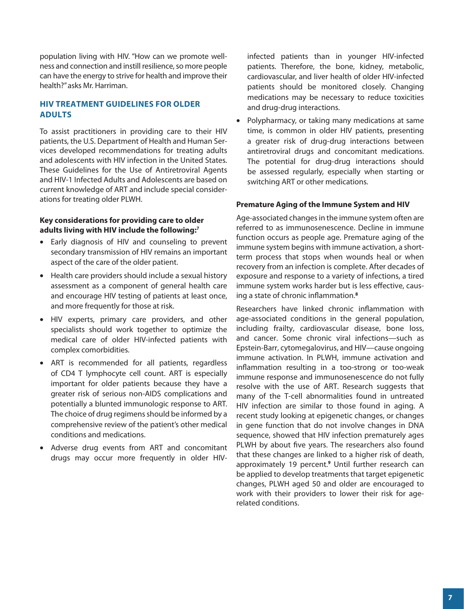<span id="page-6-0"></span>population living with HIV. "How can we promote wellness and connection and instill resilience, so more people can have the energy to strive for health and improve their health?" asks Mr. Harriman.

## **HIV TREATMENT GUIDELINES FOR OLDER ADULTS**

To assist practitioners in providing care to their HIV patients, the U.S. Department of Health and Human Services developed recommendations for treating adults and adolescents with HIV infection in the United States. These Guidelines for the Use of Antiretroviral Agents and HIV-1 Infected Adults and Adolescents are based on current knowledge of ART and include special considerations for treating older PLWH.

## **Key considerations for providing care to older adults living with HIV include the following:7**

- Early diagnosis of HIV and counseling to prevent secondary transmission of HIV remains an important aspect of the care of the older patient.
- Health care providers should include a sexual history assessment as a component of general health care and encourage HIV testing of patients at least once, and more frequently for those at risk.
- HIV experts, primary care providers, and other specialists should work together to optimize the medical care of older HIV-infected patients with complex comorbidities.
- ART is recommended for all patients, regardless of CD4 T lymphocyte cell count. ART is especially important for older patients because they have a greater risk of serious non-AIDS complications and potentially a blunted immunologic response to ART. The choice of drug regimens should be informed by a comprehensive review of the patient's other medical conditions and medications.
- Adverse drug events from ART and concomitant drugs may occur more frequently in older HIV-

infected patients than in younger HIV-infected patients. Therefore, the bone, kidney, metabolic, cardiovascular, and liver health of older HIV-infected patients should be monitored closely. Changing medications may be necessary to reduce toxicities and drug-drug interactions.

• Polypharmacy, or taking many medications at same time, is common in older HIV patients, presenting a greater risk of drug-drug interactions between antiretroviral drugs and concomitant medications. The potential for drug-drug interactions should be assessed regularly, especially when starting or switching ART or other medications.

## **Premature Aging of the Immune System and HIV**

Age-associated changes in the immune system often are referred to as immunosenescence. Decline in immune function occurs as people age. Premature aging of the immune system begins with immune activation, a shortterm process that stops when wounds heal or when recovery from an infection is complete. After decades of exposure and response to a variety of infections, a tired immune system works harder but is less effective, causing a state of chronic inflammation.**<sup>8</sup>**

Researchers have linked chronic inflammation with age-associated conditions in the general population, including frailty, cardiovascular disease, bone loss, and cancer. Some chronic viral infections—such as Epstein-Barr, cytomegalovirus, and HIV—cause ongoing immune activation. In PLWH, immune activation and inflammation resulting in a too-strong or too-weak immune response and immunosenescence do not fully resolve with the use of ART. Research suggests that many of the T-cell abnormalities found in untreated HIV infection are similar to those found in aging. A recent study looking at epigenetic changes, or changes in gene function that do not involve changes in DNA sequence, showed that HIV infection prematurely ages PLWH by about five years. The researchers also found that these changes are linked to a higher risk of death, approximately 19 percent.**<sup>9</sup>** Until further research can be applied to develop treatments that target epigenetic changes, PLWH aged 50 and older are encouraged to work with their providers to lower their risk for agerelated conditions.